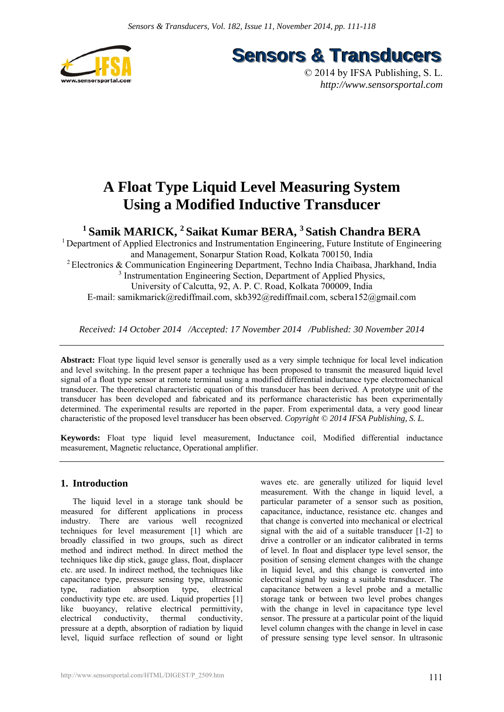

**Sensors & Transducers** 

© 2014 by IFSA Publishing, S. L. *http://www.sensorsportal.com*

# **A Float Type Liquid Level Measuring System Using a Modified Inductive Transducer**

**1 Samik MARICK, 2 Saikat Kumar BERA, 3 Satish Chandra BERA** 

<sup>1</sup> Department of Applied Electronics and Instrumentation Engineering, Future Institute of Engineering and Management, Sonarpur Station Road, Kolkata 700150, India 2 Electronics & Communication Engineering Department, Techno India Chaibasa, Jharkhand, India <sup>3</sup> Instrumentation Engineering Section, Department of Applied Physics, University of Calcutta, 92, A. P. C. Road, Kolkata 700009, India E-mail: samikmarick@rediffmail.com, skb392@rediffmail.com, scbera152@gmail.com

*Received: 14 October 2014 /Accepted: 17 November 2014 /Published: 30 November 2014*

**Abstract:** Float type liquid level sensor is generally used as a very simple technique for local level indication and level switching. In the present paper a technique has been proposed to transmit the measured liquid level signal of a float type sensor at remote terminal using a modified differential inductance type electromechanical transducer. The theoretical characteristic equation of this transducer has been derived. A prototype unit of the transducer has been developed and fabricated and its performance characteristic has been experimentally determined. The experimental results are reported in the paper. From experimental data, a very good linear characteristic of the proposed level transducer has been observed. *Copyright © 2014 IFSA Publishing, S. L.*

**Keywords:** Float type liquid level measurement, Inductance coil, Modified differential inductance measurement, Magnetic reluctance, Operational amplifier.

## **1. Introduction**

The liquid level in a storage tank should be measured for different applications in process industry. There are various well recognized techniques for level measurement [1] which are broadly classified in two groups, such as direct method and indirect method. In direct method the techniques like dip stick, gauge glass, float, displacer etc. are used. In indirect method, the techniques like capacitance type, pressure sensing type, ultrasonic type, radiation absorption type, conductivity type etc. are used. Liquid properties [1] like buoyancy, relative electrical permittivity, electrical conductivity, thermal conductivity, pressure at a depth, absorption of radiation by liquid level, liquid surface reflection of sound or light waves etc. are generally utilized for liquid level measurement. With the change in liquid level, a particular parameter of a sensor such as position, capacitance, inductance, resistance etc. changes and that change is converted into mechanical or electrical signal with the aid of a suitable transducer [1-2] to drive a controller or an indicator calibrated in terms of level. In float and displacer type level sensor, the position of sensing element changes with the change in liquid level, and this change is converted into electrical signal by using a suitable transducer. The capacitance between a level probe and a metallic storage tank or between two level probes changes with the change in level in capacitance type level sensor. The pressure at a particular point of the liquid level column changes with the change in level in case of pressure sensing type level sensor. In ultrasonic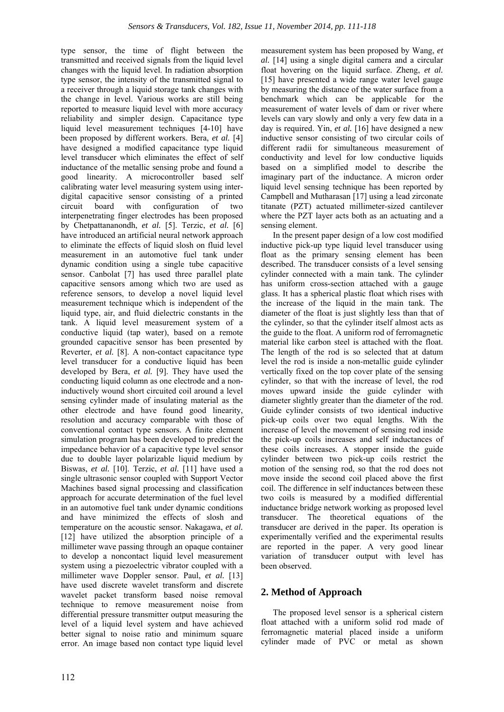type sensor, the time of flight between the transmitted and received signals from the liquid level changes with the liquid level. In radiation absorption type sensor, the intensity of the transmitted signal to a receiver through a liquid storage tank changes with the change in level. Various works are still being reported to measure liquid level with more accuracy reliability and simpler design. Capacitance type liquid level measurement techniques [4-10] have been proposed by different workers. Bera, *et al.* [4] have designed a modified capacitance type liquid level transducer which eliminates the effect of self inductance of the metallic sensing probe and found a good linearity. A microcontroller based self calibrating water level measuring system using interdigital capacitive sensor consisting of a printed circuit board with configuration of two interpenetrating finger electrodes has been proposed by Chetpattananondh, *et al.* [5]. Terzic, *et al.* [6] have introduced an artificial neural network approach to eliminate the effects of liquid slosh on fluid level measurement in an automotive fuel tank under dynamic condition using a single tube capacitive sensor. Canbolat [7] has used three parallel plate capacitive sensors among which two are used as reference sensors, to develop a novel liquid level measurement technique which is independent of the liquid type, air, and fluid dielectric constants in the tank. A liquid level measurement system of a conductive liquid (tap water), based on a remote grounded capacitive sensor has been presented by Reverter, *et al.* [8]. A non-contact capacitance type level transducer for a conductive liquid has been developed by Bera, *et al.* [9]. They have used the conducting liquid column as one electrode and a noninductively wound short circuited coil around a level sensing cylinder made of insulating material as the other electrode and have found good linearity, resolution and accuracy comparable with those of conventional contact type sensors. A finite element simulation program has been developed to predict the impedance behavior of a capacitive type level sensor due to double layer polarizable liquid medium by Biswas, *et al.* [10]. Terzic, *et al.* [11] have used a single ultrasonic sensor coupled with Support Vector Machines based signal processing and classification approach for accurate determination of the fuel level in an automotive fuel tank under dynamic conditions and have minimized the effects of slosh and temperature on the acoustic sensor. Nakagawa, *et al.* [12] have utilized the absorption principle of a millimeter wave passing through an opaque container to develop a noncontact liquid level measurement system using a piezoelectric vibrator coupled with a millimeter wave Doppler sensor. Paul, *et al.* [13] have used discrete wavelet transform and discrete wavelet packet transform based noise removal technique to remove measurement noise from differential pressure transmitter output measuring the level of a liquid level system and have achieved better signal to noise ratio and minimum square error. An image based non contact type liquid level

measurement system has been proposed by Wang, *et al.* [14] using a single digital camera and a circular float hovering on the liquid surface. Zheng, *et al.* [15] have presented a wide range water level gauge by measuring the distance of the water surface from a benchmark which can be applicable for the measurement of water levels of dam or river where levels can vary slowly and only a very few data in a day is required. Yin, *et al.* [16] have designed a new inductive sensor consisting of two circular coils of different radii for simultaneous measurement of conductivity and level for low conductive liquids based on a simplified model to describe the imaginary part of the inductance. A micron order liquid level sensing technique has been reported by Campbell and Mutharasan [17] using a lead zirconate titanate (PZT) actuated millimeter-sized cantilever where the PZT layer acts both as an actuating and a sensing element.

In the present paper design of a low cost modified inductive pick-up type liquid level transducer using float as the primary sensing element has been described. The transducer consists of a level sensing cylinder connected with a main tank. The cylinder has uniform cross-section attached with a gauge glass. It has a spherical plastic float which rises with the increase of the liquid in the main tank. The diameter of the float is just slightly less than that of the cylinder, so that the cylinder itself almost acts as the guide to the float. A uniform rod of ferromagnetic material like carbon steel is attached with the float. The length of the rod is so selected that at datum level the rod is inside a non-metallic guide cylinder vertically fixed on the top cover plate of the sensing cylinder, so that with the increase of level, the rod moves upward inside the guide cylinder with diameter slightly greater than the diameter of the rod. Guide cylinder consists of two identical inductive pick-up coils over two equal lengths. With the increase of level the movement of sensing rod inside the pick-up coils increases and self inductances of these coils increases. A stopper inside the guide cylinder between two pick-up coils restrict the motion of the sensing rod, so that the rod does not move inside the second coil placed above the first coil. The difference in self inductances between these two coils is measured by a modified differential inductance bridge network working as proposed level transducer. The theoretical equations of the transducer are derived in the paper. Its operation is experimentally verified and the experimental results are reported in the paper. A very good linear variation of transducer output with level has been observed.

## **2. Method of Approach**

The proposed level sensor is a spherical cistern float attached with a uniform solid rod made of ferromagnetic material placed inside a uniform cylinder made of PVC or metal as shown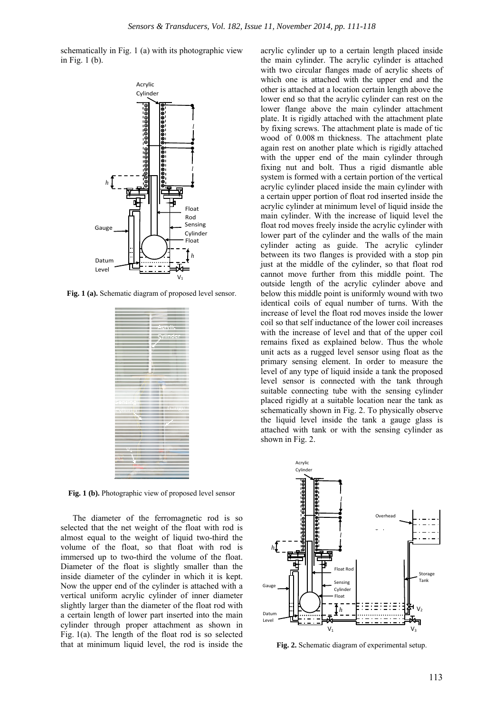schematically in Fig. 1 (a) with its photographic view in Fig. 1 (b).



**Fig. 1 (a).** Schematic diagram of proposed level sensor.

|          | <u>Aasjid</u> |
|----------|---------------|
|          | Ø             |
|          |               |
|          |               |
|          |               |
|          |               |
|          |               |
|          |               |
|          |               |
|          |               |
|          |               |
|          |               |
|          |               |
|          |               |
|          |               |
|          |               |
|          |               |
|          |               |
|          |               |
|          |               |
|          |               |
|          |               |
|          |               |
|          |               |
|          |               |
|          |               |
|          |               |
|          |               |
|          |               |
|          |               |
|          |               |
|          |               |
|          |               |
|          |               |
|          |               |
|          |               |
|          |               |
|          |               |
|          |               |
|          |               |
|          |               |
|          |               |
|          |               |
|          |               |
|          |               |
|          |               |
|          |               |
|          |               |
|          |               |
|          |               |
|          |               |
|          |               |
|          |               |
|          |               |
|          |               |
|          |               |
|          |               |
|          |               |
|          |               |
|          |               |
| senare   |               |
|          |               |
|          |               |
|          |               |
|          |               |
|          | asing.        |
|          |               |
| spinnig. |               |
|          |               |
|          |               |
|          |               |
|          |               |
| Ξ        |               |
|          |               |
|          |               |
|          |               |
|          | F.            |
|          |               |
|          |               |
|          |               |
|          |               |
|          |               |
|          |               |
|          |               |
|          |               |
|          |               |
|          |               |
|          |               |
|          |               |
|          |               |
|          |               |
|          |               |
|          |               |
|          |               |
|          |               |
| Ξ        |               |
|          |               |
|          |               |
|          |               |
|          |               |
|          |               |
|          |               |
|          |               |
|          |               |
|          |               |
|          |               |
|          |               |
|          |               |
|          |               |
|          |               |
|          |               |
|          |               |
|          |               |
|          |               |
|          |               |

**Fig. 1 (b).** Photographic view of proposed level sensor

The diameter of the ferromagnetic rod is so selected that the net weight of the float with rod is almost equal to the weight of liquid two-third the volume of the float, so that float with rod is immersed up to two-third the volume of the float. Diameter of the float is slightly smaller than the inside diameter of the cylinder in which it is kept. Now the upper end of the cylinder is attached with a vertical uniform acrylic cylinder of inner diameter slightly larger than the diameter of the float rod with a certain length of lower part inserted into the main cylinder through proper attachment as shown in Fig. 1(a). The length of the float rod is so selected that at minimum liquid level, the rod is inside the

acrylic cylinder up to a certain length placed inside the main cylinder. The acrylic cylinder is attached with two circular flanges made of acrylic sheets of which one is attached with the upper end and the other is attached at a location certain length above the lower end so that the acrylic cylinder can rest on the lower flange above the main cylinder attachment plate. It is rigidly attached with the attachment plate by fixing screws. The attachment plate is made of tic wood of 0.008 m thickness. The attachment plate again rest on another plate which is rigidly attached with the upper end of the main cylinder through fixing nut and bolt. Thus a rigid dismantle able system is formed with a certain portion of the vertical acrylic cylinder placed inside the main cylinder with a certain upper portion of float rod inserted inside the acrylic cylinder at minimum level of liquid inside the main cylinder. With the increase of liquid level the float rod moves freely inside the acrylic cylinder with lower part of the cylinder and the walls of the main cylinder acting as guide. The acrylic cylinder between its two flanges is provided with a stop pin just at the middle of the cylinder, so that float rod cannot move further from this middle point. The outside length of the acrylic cylinder above and below this middle point is uniformly wound with two identical coils of equal number of turns. With the increase of level the float rod moves inside the lower coil so that self inductance of the lower coil increases with the increase of level and that of the upper coil remains fixed as explained below. Thus the whole unit acts as a rugged level sensor using float as the primary sensing element. In order to measure the level of any type of liquid inside a tank the proposed level sensor is connected with the tank through suitable connecting tube with the sensing cylinder placed rigidly at a suitable location near the tank as schematically shown in Fig. 2. To physically observe the liquid level inside the tank a gauge glass is attached with tank or with the sensing cylinder as shown in Fig. 2.



**Fig. 2.** Schematic diagram of experimental setup.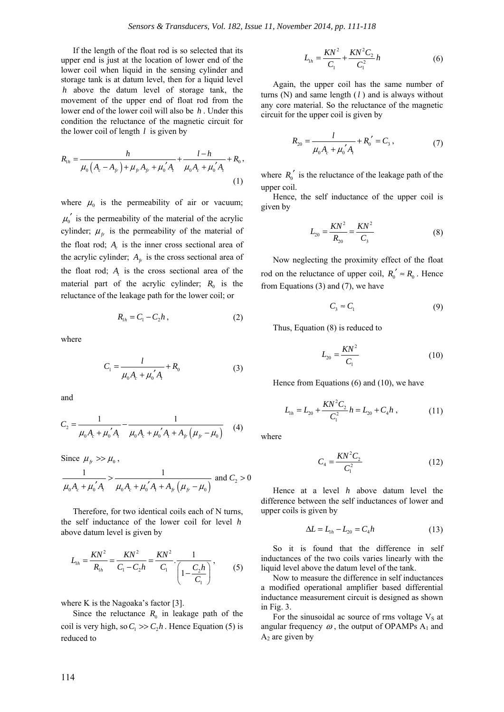If the length of the float rod is so selected that its upper end is just at the location of lower end of the lower coil when liquid in the sensing cylinder and storage tank is at datum level, then for a liquid level *h* above the datum level of storage tank, the movement of the upper end of float rod from the lower end of the lower coil will also be *h* . Under this condition the reluctance of the magnetic circuit for the lower coil of length *l* is given by

$$
R_{1h} = \frac{h}{\mu_0 \left( A_c - A_{fr} \right) + \mu_{fr} A_{fr} + \mu_0' A_t} + \frac{l - h}{\mu_0 A_c + \mu_0' A_t} + R_0,
$$
\n(1)

where  $\mu_0$  is the permeability of air or vacuum;  $\mu_0'$  is the permeability of the material of the acrylic cylinder;  $\mu_{fr}$  is the permeability of the material of the float rod; *A<sub>c</sub>* is the inner cross sectional area of the acrylic cylinder;  $A_f$  is the cross sectional area of the float rod;  $A<sub>t</sub>$  is the cross sectional area of the material part of the acrylic cylinder;  $R_0$  is the reluctance of the leakage path for the lower coil; or

$$
R_{1h} = C_1 - C_2 h \,, \tag{2}
$$

where

$$
C_1 = \frac{l}{\mu_0 A_c + \mu_0' A_i} + R_0 \tag{3}
$$

and

$$
C_2 = \frac{1}{\mu_0 A_c + \mu_0' A_t} - \frac{1}{\mu_0 A_c + \mu_0' A_t + A_{fr} \left(\mu_f - \mu_0\right)} \tag{4}
$$

Since  $\mu_{\scriptscriptstyle{f_r}} >> \mu_{\scriptscriptstyle{0}}$ ,

$$
\frac{1}{\mu_0 A_c + \mu_0' A_i} > \frac{1}{\mu_0 A_c + \mu_0' A_i + A_{fr} (\mu_{fr} - \mu_0)}
$$
 and  $C_2 > 0$ 

Therefore, for two identical coils each of N turns, the self inductance of the lower coil for level *h* above datum level is given by

$$
L_{1h} = \frac{KN^2}{R_{1h}} = \frac{KN^2}{C_1 - C_2h} = \frac{KN^2}{C_1} \cdot \frac{1}{\left(1 - \frac{C_2h}{C_1}\right)},
$$
(5)

where K is the Nagoaka's factor [3].

Since the reluctance  $R_0$  in leakage path of the coil is very high, so  $C_1 \gg C_2 h$ . Hence Equation (5) is reduced to

$$
L_{1h} = \frac{KN^2}{C_1} + \frac{KN^2C_2}{C_1^2}h
$$
 (6)

Again, the upper coil has the same number of turns (N) and same length (*l* ) and is always without any core material. So the reluctance of the magnetic circuit for the upper coil is given by

$$
R_{20} = \frac{l}{\mu_0 A_c + \mu'_0 A_t} + R'_0 = C_3, \qquad (7)
$$

where  $R_0'$  is the reluctance of the leakage path of the upper coil.

Hence, the self inductance of the upper coil is given by

$$
L_{20} = \frac{KN^2}{R_{20}} = \frac{KN^2}{C_3}
$$
 (8)

Now neglecting the proximity effect of the float rod on the reluctance of upper coil,  $R_0' \approx R_0$ . Hence from Equations (3) and (7), we have

$$
C_3 \approx C_1 \tag{9}
$$

Thus, Equation (8) is reduced to

$$
L_{20} = \frac{KN^2}{C_1} \tag{10}
$$

Hence from Equations (6) and (10), we have

$$
L_{1h} = L_{20} + \frac{KN^2C_2}{C_1^2}h = L_{20} + C_4h , \qquad (11)
$$

where

$$
C_4 = \frac{KN^2 C_2}{C_1^2} \tag{12}
$$

Hence at a level *h* above datum level the difference between the self inductances of lower and upper coils is given by

$$
\Delta L = L_{1h} - L_{20} = C_4 h \tag{13}
$$

So it is found that the difference in self inductances of the two coils varies linearly with the liquid level above the datum level of the tank.

Now to measure the difference in self inductances a modified operational amplifier based differential inductance measurement circuit is designed as shown in Fig. 3.

For the sinusoidal ac source of rms voltage  $V<sub>S</sub>$  at angular frequency  $\omega$ , the output of OPAMPs  $A_1$  and  $A_2$  are given by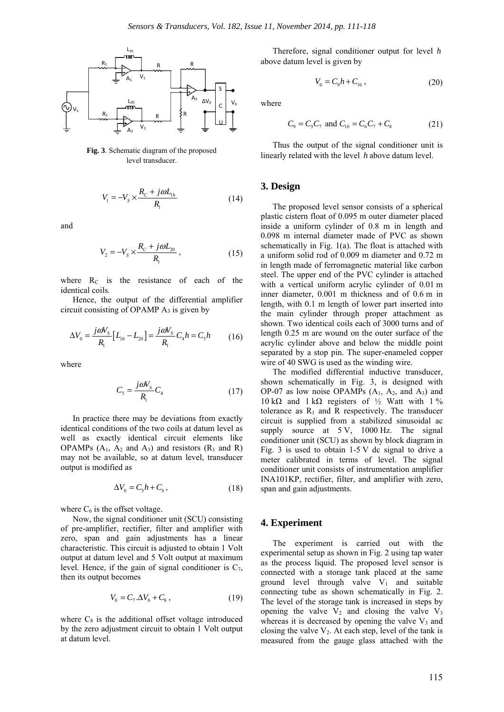

**Fig. 3**. Schematic diagram of the proposed level transducer.

$$
V_1 = -V_s \times \frac{R_c + j\omega L_{1h}}{R_1} \tag{14}
$$

and

$$
V_2 = -V_s \times \frac{R_c + j\omega L_{20}}{R_1},\tag{15}
$$

where  $R_C$  is the resistance of each of the identical coils.

Hence, the output of the differential amplifier circuit consisting of OPAMP  $A_3$  is given by

$$
\Delta V_0 = \frac{j\omega V_s}{R_1} \Big[ L_{1h} - L_{20} \Big] = \frac{j\omega V_s}{R_1} C_4 h = C_5 h \tag{16}
$$

where

$$
C_{5} = \frac{j\omega V_{s}}{R_{1}} C_{4}
$$
 (17)

In practice there may be deviations from exactly identical conditions of the two coils at datum level as well as exactly identical circuit elements like OPAMPs  $(A_1, A_2 \text{ and } A_3)$  and resistors  $(R_1 \text{ and } R)$ may not be available, so at datum level, transducer output is modified as

$$
\Delta V_0 = C_5 h + C_6, \qquad (18)
$$

where  $C_6$  is the offset voltage.

Now, the signal conditioner unit (SCU) consisting of pre-amplifier, rectifier, filter and amplifier with zero, span and gain adjustments has a linear characteristic. This circuit is adjusted to obtain 1 Volt output at datum level and 5 Volt output at maximum level. Hence, if the gain of signal conditioner is  $C_7$ , then its output becomes

$$
V_0 = C_7 \Delta V_0 + C_8, \qquad (19)
$$

where  $C_8$  is the additional offset voltage introduced by the zero adjustment circuit to obtain 1 Volt output at datum level.

Therefore, signal conditioner output for level *h* above datum level is given by

$$
V_0 = C_9 h + C_{10} , \qquad (20)
$$

where

$$
C_9 = C_5 C_7 \text{ and } C_{10} = C_6 C_7 + C_8 \tag{21}
$$

Thus the output of the signal conditioner unit is linearly related with the level *h* above datum level.

#### **3. Design**

The proposed level sensor consists of a spherical plastic cistern float of 0.095 m outer diameter placed inside a uniform cylinder of 0.8 m in length and 0.098 m internal diameter made of PVC as shown schematically in Fig. 1(a). The float is attached with a uniform solid rod of 0.009 m diameter and 0.72 m in length made of ferromagnetic material like carbon steel. The upper end of the PVC cylinder is attached with a vertical uniform acrylic cylinder of 0.01 m inner diameter, 0.001 m thickness and of 0.6 m in length, with 0.1 m length of lower part inserted into the main cylinder through proper attachment as shown. Two identical coils each of 3000 turns and of length 0.25 m are wound on the outer surface of the acrylic cylinder above and below the middle point separated by a stop pin. The super-enameled copper wire of 40 SWG is used as the winding wire.

The modified differential inductive transducer, shown schematically in Fig. 3, is designed with OP-07 as low noise OPAMPs  $(A_1, A_2,$  and  $A_3)$  and 10 kΩ and 1 kΩ registers of  $\frac{1}{2}$  Watt with 1 % tolerance as  $R_1$  and R respectively. The transducer circuit is supplied from a stabilized sinusoidal ac supply source at 5 V, 1000 Hz. The signal conditioner unit (SCU) as shown by block diagram in Fig. 3 is used to obtain  $1-5$  V dc signal to drive a meter calibrated in terms of level. The signal conditioner unit consists of instrumentation amplifier INA101KP, rectifier, filter, and amplifier with zero, span and gain adjustments.

## **4. Experiment**

The experiment is carried out with the experimental setup as shown in Fig. 2 using tap water as the process liquid. The proposed level sensor is connected with a storage tank placed at the same ground level through valve  $V_1$  and suitable connecting tube as shown schematically in Fig. 2. The level of the storage tank is increased in steps by opening the valve  $V_2$  and closing the valve  $V_3$ whereas it is decreased by opening the valve  $V_3$  and closing the valve  $V_2$ . At each step, level of the tank is measured from the gauge glass attached with the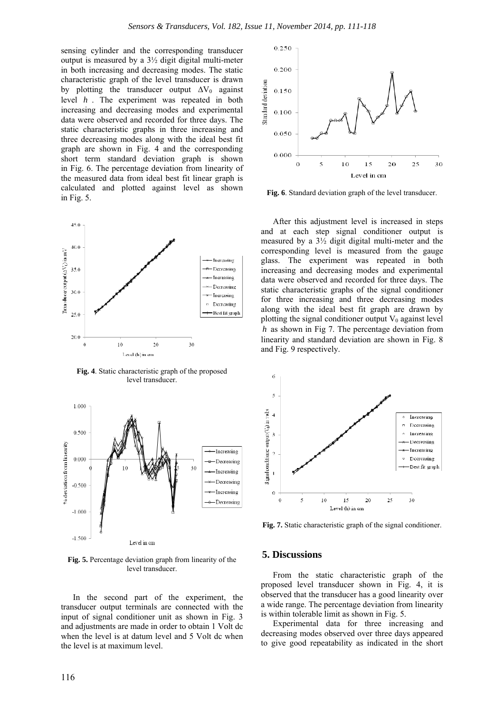sensing cylinder and the corresponding transducer output is measured by a 3½ digit digital multi-meter in both increasing and decreasing modes. The static characteristic graph of the level transducer is drawn by plotting the transducer output  $\Delta V_0$  against level *h* . The experiment was repeated in both increasing and decreasing modes and experimental data were observed and recorded for three days. The static characteristic graphs in three increasing and three decreasing modes along with the ideal best fit graph are shown in Fig. 4 and the corresponding short term standard deviation graph is shown in Fig. 6. The percentage deviation from linearity of the measured data from ideal best fit linear graph is calculated and plotted against level as shown in Fig. 5.



**Fig. 4**. Static characteristic graph of the proposed level transducer.



**Fig. 5.** Percentage deviation graph from linearity of the level transducer.

In the second part of the experiment, the transducer output terminals are connected with the input of signal conditioner unit as shown in Fig. 3 and adjustments are made in order to obtain 1 Volt dc when the level is at datum level and 5 Volt dc when the level is at maximum level.



**Fig. 6**. Standard deviation graph of the level transducer.

After this adjustment level is increased in steps and at each step signal conditioner output is measured by a 3½ digit digital multi-meter and the corresponding level is measured from the gauge glass. The experiment was repeated in both increasing and decreasing modes and experimental data were observed and recorded for three days. The static characteristic graphs of the signal conditioner for three increasing and three decreasing modes along with the ideal best fit graph are drawn by plotting the signal conditioner output  $V_0$  against level *h* as shown in Fig 7. The percentage deviation from linearity and standard deviation are shown in Fig. 8 and Fig. 9 respectively.



**Fig. 7.** Static characteristic graph of the signal conditioner.

### **5. Discussions**

From the static characteristic graph of the proposed level transducer shown in Fig. 4, it is observed that the transducer has a good linearity over a wide range. The percentage deviation from linearity is within tolerable limit as shown in Fig. 5.

Experimental data for three increasing and decreasing modes observed over three days appeared to give good repeatability as indicated in the short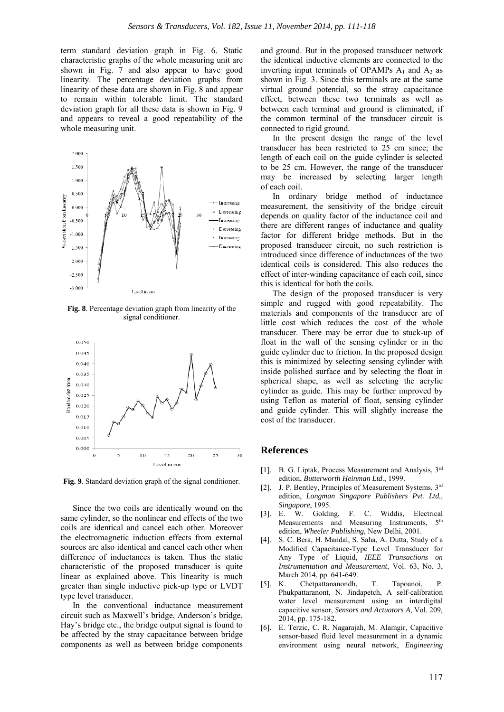term standard deviation graph in Fig. 6. Static characteristic graphs of the whole measuring unit are shown in Fig. 7 and also appear to have good linearity. The percentage deviation graphs from linearity of these data are shown in Fig. 8 and appear to remain within tolerable limit. The standard deviation graph for all these data is shown in Fig. 9 and appears to reveal a good repeatability of the whole measuring unit.



**Fig. 8**. Percentage deviation graph from linearity of the signal conditioner.



**Fig. 9**. Standard deviation graph of the signal conditioner.

Since the two coils are identically wound on the same cylinder, so the nonlinear end effects of the two coils are identical and cancel each other. Moreover the electromagnetic induction effects from external sources are also identical and cancel each other when difference of inductances is taken. Thus the static characteristic of the proposed transducer is quite linear as explained above. This linearity is much greater than single inductive pick-up type or LVDT type level transducer.

In the conventional inductance measurement circuit such as Maxwell's bridge, Anderson's bridge, Hay's bridge etc., the bridge output signal is found to be affected by the stray capacitance between bridge components as well as between bridge components and ground. But in the proposed transducer network the identical inductive elements are connected to the inverting input terminals of OPAMPs  $A_1$  and  $A_2$  as shown in Fig. 3. Since this terminals are at the same virtual ground potential, so the stray capacitance effect, between these two terminals as well as between each terminal and ground is eliminated, if the common terminal of the transducer circuit is connected to rigid ground.

In the present design the range of the level transducer has been restricted to 25 cm since; the length of each coil on the guide cylinder is selected to be 25 cm. However, the range of the transducer may be increased by selecting larger length of each coil.

In ordinary bridge method of inductance measurement, the sensitivity of the bridge circuit depends on quality factor of the inductance coil and there are different ranges of inductance and quality factor for different bridge methods. But in the proposed transducer circuit, no such restriction is introduced since difference of inductances of the two identical coils is considered. This also reduces the effect of inter-winding capacitance of each coil, since this is identical for both the coils.

The design of the proposed transducer is very simple and rugged with good repeatability. The materials and components of the transducer are of little cost which reduces the cost of the whole transducer. There may be error due to stuck-up of float in the wall of the sensing cylinder or in the guide cylinder due to friction. In the proposed design this is minimized by selecting sensing cylinder with inside polished surface and by selecting the float in spherical shape, as well as selecting the acrylic cylinder as guide. This may be further improved by using Teflon as material of float, sensing cylinder and guide cylinder. This will slightly increase the cost of the transducer.

#### **References**

- [1]. B. G. Liptak, Process Measurement and Analysis, 3rd edition, *Butterworth Heinman Ltd*., 1999.
- [2]. J. P. Bentley, Principles of Measurement Systems, 3rd edition, *Longman Singapore Publishers Pvt. Ltd., Singapore*, 1995.
- [3]. E. W. Golding, F. C. Widdis, Electrical Measurements and Measuring Instruments. 5<sup>th</sup> edition, *Wheeler Publishing*, New Delhi, 2001.
- [4]. S. C. Bera, H. Mandal, S. Saha, A. Dutta, Study of a Modified Capacitance-Type Level Transducer for Any Type of Liquid, *IEEE Transactions on Instrumentation and Measurement*, Vol. 63, No. 3, March 2014, pp. 641-649.
- [5]. K. Chetpattananondh, T. Tapoanoi, P. Phukpattaranont, N. Jindapetch, A self-calibration water level measurement using an interdigital capacitive sensor, *Sensors and Actuators A*, Vol. 209, 2014, pp. 175-182.
- [6]. E. Terzic, C. R. Nagarajah, M. Alamgir, Capacitive sensor-based fluid level measurement in a dynamic environment using neural network, *Engineering*